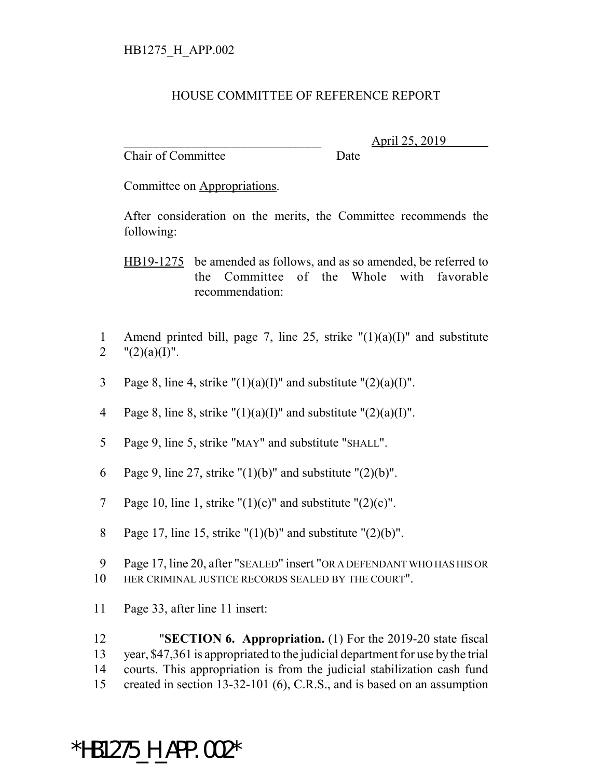## HOUSE COMMITTEE OF REFERENCE REPORT

Chair of Committee Date

\_\_\_\_\_\_\_\_\_\_\_\_\_\_\_\_\_\_\_\_\_\_\_\_\_\_\_\_\_\_\_ April 25, 2019

Committee on Appropriations.

After consideration on the merits, the Committee recommends the following:

HB19-1275 be amended as follows, and as so amended, be referred to the Committee of the Whole with favorable recommendation:

- 1 Amend printed bill, page 7, line 25, strike  $"(1)(a)(I)"$  and substitute 2  $"(2)(a)(I)"$ .
- 3 Page 8, line 4, strike " $(1)(a)(I)$ " and substitute " $(2)(a)(I)$ ".
- 4 Page 8, line 8, strike " $(1)(a)(I)$ " and substitute " $(2)(a)(I)$ ".
- 5 Page 9, line 5, strike "MAY" and substitute "SHALL".
- 6 Page 9, line 27, strike " $(1)(b)$ " and substitute " $(2)(b)$ ".
- 7 Page 10, line 1, strike " $(1)(c)$ " and substitute " $(2)(c)$ ".
- 8 Page 17, line 15, strike " $(1)(b)$ " and substitute " $(2)(b)$ ".
- 9 Page 17, line 20, after "SEALED" insert "OR A DEFENDANT WHO HAS HIS OR
- 10 HER CRIMINAL JUSTICE RECORDS SEALED BY THE COURT".
- 11 Page 33, after line 11 insert:

 "**SECTION 6. Appropriation.** (1) For the 2019-20 state fiscal year, \$47,361 is appropriated to the judicial department for use by the trial courts. This appropriation is from the judicial stabilization cash fund created in section 13-32-101 (6), C.R.S., and is based on an assumption

## \*HB1275\_H\_APP.002\*